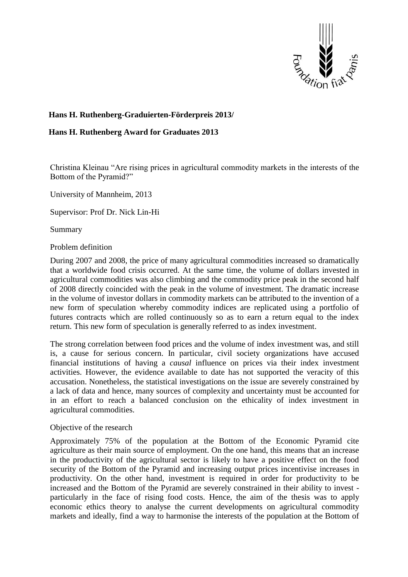

# **Hans H. Ruthenberg-Graduierten-Förderpreis 2013/**

# **Hans H. Ruthenberg Award for Graduates 2013**

Christina Kleinau "Are rising prices in agricultural commodity markets in the interests of the Bottom of the Pyramid?"

University of Mannheim, 2013

Supervisor: Prof Dr. Nick Lin-Hi

Summary

## Problem definition

During 2007 and 2008, the price of many agricultural commodities increased so dramatically that a worldwide food crisis occurred. At the same time, the volume of dollars invested in agricultural commodities was also climbing and the commodity price peak in the second half of 2008 directly coincided with the peak in the volume of investment. The dramatic increase in the volume of investor dollars in commodity markets can be attributed to the invention of a new form of speculation whereby commodity indices are replicated using a portfolio of futures contracts which are rolled continuously so as to earn a return equal to the index return. This new form of speculation is generally referred to as index investment.

The strong correlation between food prices and the volume of index investment was, and still is, a cause for serious concern. In particular, civil society organizations have accused financial institutions of having a *causal* influence on prices via their index investment activities. However, the evidence available to date has not supported the veracity of this accusation. Nonetheless, the statistical investigations on the issue are severely constrained by a lack of data and hence, many sources of complexity and uncertainty must be accounted for in an effort to reach a balanced conclusion on the ethicality of index investment in agricultural commodities.

#### Objective of the research

Approximately 75% of the population at the Bottom of the Economic Pyramid cite agriculture as their main source of employment. On the one hand, this means that an increase in the productivity of the agricultural sector is likely to have a positive effect on the food security of the Bottom of the Pyramid and increasing output prices incentivise increases in productivity. On the other hand, investment is required in order for productivity to be increased and the Bottom of the Pyramid are severely constrained in their ability to invest particularly in the face of rising food costs. Hence, the aim of the thesis was to apply economic ethics theory to analyse the current developments on agricultural commodity markets and ideally, find a way to harmonise the interests of the population at the Bottom of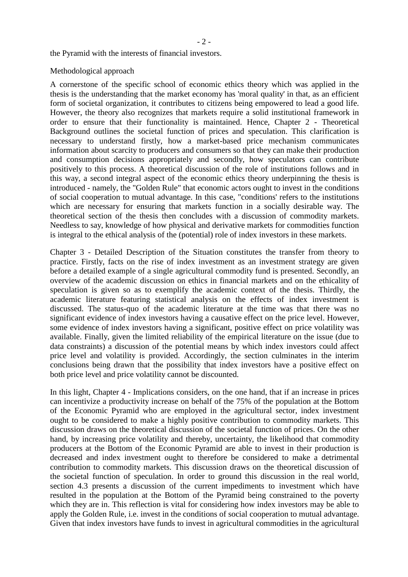$-2-$ 

the Pyramid with the interests of financial investors.

#### Methodological approach

A cornerstone of the specific school of economic ethics theory which was applied in the thesis is the understanding that the market economy has 'moral quality' in that, as an efficient form of societal organization, it contributes to citizens being empowered to lead a good life. However, the theory also recognizes that markets require a solid institutional framework in order to ensure that their functionality is maintained. Hence, Chapter 2 - Theoretical Background outlines the societal function of prices and speculation. This clarification is necessary to understand firstly, how a market-based price mechanism communicates information about scarcity to producers and consumers so that they can make their production and consumption decisions appropriately and secondly, how speculators can contribute positively to this process. A theoretical discussion of the role of institutions follows and in this way, a second integral aspect of the economic ethics theory underpinning the thesis is introduced - namely, the "Golden Rule" that economic actors ought to invest in the conditions of social cooperation to mutual advantage. In this case, "conditions' refers to the institutions which are necessary for ensuring that markets function in a socially desirable way. The theoretical section of the thesis then concludes with a discussion of commodity markets. Needless to say, knowledge of how physical and derivative markets for commodities function is integral to the ethical analysis of the (potential) role of index investors in these markets.

Chapter 3 - Detailed Description of the Situation constitutes the transfer from theory to practice. Firstly, facts on the rise of index investment as an investment strategy are given before a detailed example of a single agricultural commodity fund is presented. Secondly, an overview of the academic discussion on ethics in financial markets and on the ethicality of speculation is given so as to exemplify the academic context of the thesis. Thirdly, the academic literature featuring statistical analysis on the effects of index investment is discussed. The status-quo of the academic literature at the time was that there was no significant evidence of index investors having a causative effect on the price level. However, some evidence of index investors having a significant, positive effect on price volatility was available. Finally, given the limited reliability of the empirical literature on the issue (due to data constraints) a discussion of the potential means by which index investors could affect price level and volatility is provided. Accordingly, the section culminates in the interim conclusions being drawn that the possibility that index investors have a positive effect on both price level and price volatility cannot be discounted.

In this light, Chapter 4 - Implications considers, on the one hand, that if an increase in prices can incentivize a productivity increase on behalf of the 75% of the population at the Bottom of the Economic Pyramid who are employed in the agricultural sector, index investment ought to be considered to make a highly positive contribution to commodity markets. This discussion draws on the theoretical discussion of the societal function of prices. On the other hand, by increasing price volatility and thereby, uncertainty, the likelihood that commodity producers at the Bottom of the Economic Pyramid are able to invest in their production is decreased and index investment ought to therefore be considered to make a detrimental contribution to commodity markets. This discussion draws on the theoretical discussion of the societal function of speculation. In order to ground this discussion in the real world, section 4.3 presents a discussion of the current impediments to investment which have resulted in the population at the Bottom of the Pyramid being constrained to the poverty which they are in. This reflection is vital for considering how index investors may be able to apply the Golden Rule, i.e. invest in the conditions of social cooperation to mutual advantage. Given that index investors have funds to invest in agricultural commodities in the agricultural